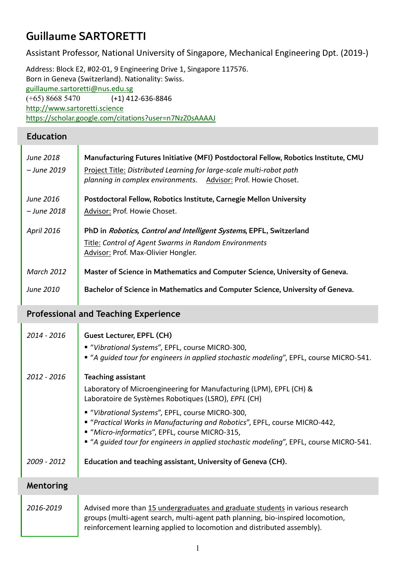# Guillaume SARTORETTI

Assistant Professor, National University of Singapore, Mechanical Engineering Dpt. (2019-)

Address: Block E2, #02-01, 9 Engineering Drive 1, Singapore 117576. Born in Geneva (Switzerland). Nationality: Swiss. [guillaume.sartoretti@nus.edu.sg](mailto:guillaume.sartoretti@nus.edu.sg) (+65) 8668 5470 (+1) 412-636-8846 [http://www.sartoretti.science](http://www.sartoretti.science/) <https://scholar.google.com/citations?user=n7NzZ0sAAAAJ>

#### **Education**

| June 2018<br>– June 2019        | Manufacturing Futures Initiative (MFI) Postdoctoral Fellow, Robotics Institute, CMU<br>Project Title: Distributed Learning for large-scale multi-robot path<br>planning in complex environments. Advisor: Prof. Howie Choset. |
|---------------------------------|-------------------------------------------------------------------------------------------------------------------------------------------------------------------------------------------------------------------------------|
| June 2016<br><i>– June 2018</i> | Postdoctoral Fellow, Robotics Institute, Carnegie Mellon University<br>Advisor: Prof. Howie Choset.                                                                                                                           |
| <b>April 2016</b>               | PhD in Robotics, Control and Intelligent Systems, EPFL, Switzerland<br>Title: Control of Agent Swarms in Random Environments<br>Advisor: Prof. Max-Olivier Hongler.                                                           |
| <b>March 2012</b>               | Master of Science in Mathematics and Computer Science, University of Geneva.                                                                                                                                                  |
| <b>June 2010</b>                | Bachelor of Science in Mathematics and Computer Science, University of Geneva.                                                                                                                                                |

#### **Professional and Teaching Experience**

| 2014 - 2016 | Guest Lecturer, EPFL (CH)<br>■ "Vibrational Systems", EPFL, course MICRO-300,<br>" "A guided tour for engineers in applied stochastic modeling", EPFL, course MICRO-541.                                                                                                    |
|-------------|-----------------------------------------------------------------------------------------------------------------------------------------------------------------------------------------------------------------------------------------------------------------------------|
| 2012 - 2016 | <b>Teaching assistant</b><br>Laboratory of Microengineering for Manufacturing (LPM), EPFL (CH) &<br>Laboratoire de Systèmes Robotiques (LSRO), EPFL (CH)                                                                                                                    |
|             | ■ "Vibrational Systems", EPFL, course MICRO-300,<br>■ "Practical Works in Manufacturing and Robotics", EPFL, course MICRO-442,<br>■ "Micro-informatics", EPFL, course MICRO-315,<br>■ "A guided tour for engineers in applied stochastic modeling", EPFL, course MICRO-541. |
| 2009 - 2012 | Education and teaching assistant, University of Geneva (CH).                                                                                                                                                                                                                |
| Mentoring   |                                                                                                                                                                                                                                                                             |
| 2016-2019   | Advised more than 15 undergraduates and graduate students in various research<br>groups (multi-agent search, multi-agent path planning, bio-inspired locomotion,                                                                                                            |

reinforcement learning applied to locomotion and distributed assembly).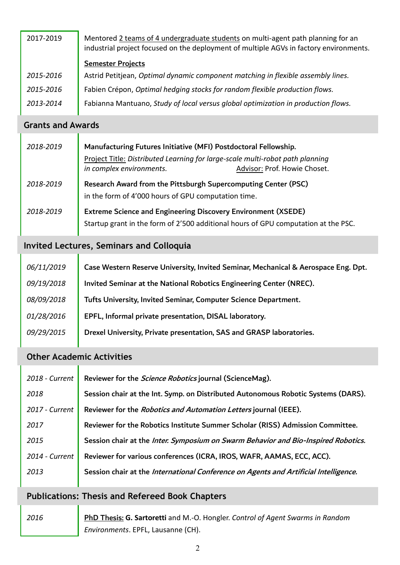| 2017-2019 | Mentored 2 teams of 4 undergraduate students on multi-agent path planning for an<br>industrial project focused on the deployment of multiple AGVs in factory environments. |  |
|-----------|----------------------------------------------------------------------------------------------------------------------------------------------------------------------------|--|
|           | <b>Semester Projects</b>                                                                                                                                                   |  |
| 2015-2016 | Astrid Petitjean, Optimal dynamic component matching in flexible assembly lines.                                                                                           |  |
| 2015-2016 | Fabien Crépon, Optimal hedging stocks for random flexible production flows.                                                                                                |  |
| 2013-2014 | Fabianna Mantuano, Study of local versus global optimization in production flows.                                                                                          |  |
|           |                                                                                                                                                                            |  |

#### **Grants and Awards**

| 2018-2019 | Manufacturing Futures Initiative (MFI) Postdoctoral Fellowship.<br>Project Title: Distributed Learning for large-scale multi-robot path planning<br>in complex environments.<br>Advisor: Prof. Howie Choset. |
|-----------|--------------------------------------------------------------------------------------------------------------------------------------------------------------------------------------------------------------|
| 2018-2019 | Research Award from the Pittsburgh Supercomputing Center (PSC)<br>in the form of 4'000 hours of GPU computation time.                                                                                        |
| 2018-2019 | Extreme Science and Engineering Discovery Environment (XSEDE)<br>Startup grant in the form of 2'500 additional hours of GPU computation at the PSC.                                                          |

### **Invited Lectures, Seminars and Colloquia**

| 06/11/2019 | Case Western Reserve University, Invited Seminar, Mechanical & Aerospace Eng. Dpt. |
|------------|------------------------------------------------------------------------------------|
| 09/19/2018 | Invited Seminar at the National Robotics Engineering Center (NREC).                |
| 08/09/2018 | Tufts University, Invited Seminar, Computer Science Department.                    |
| 01/28/2016 | EPFL, Informal private presentation, DISAL laboratory.                             |
| 09/29/2015 | Drexel University, Private presentation, SAS and GRASP laboratories.               |

### **Other Academic Activities**

| 2018 - Current | Reviewer for the <i>Science Robotics</i> journal (ScienceMag).                       |
|----------------|--------------------------------------------------------------------------------------|
| 2018           | Session chair at the Int. Symp. on Distributed Autonomous Robotic Systems (DARS).    |
| 2017 - Current | Reviewer for the <i>Robotics and Automation Letters</i> journal (IEEE).              |
| 2017           | Reviewer for the Robotics Institute Summer Scholar (RISS) Admission Committee.       |
| 2015           | Session chair at the Inter. Symposium on Swarm Behavior and Bio-Inspired Robotics.   |
| 2014 - Current | Reviewer for various conferences (ICRA, IROS, WAFR, AAMAS, ECC, ACC).                |
| 2013           | Session chair at the International Conference on Agents and Artificial Intelligence. |
|                |                                                                                      |

### **Publications: Thesis and Refereed Book Chapters**

*2016* PhD Thesis: **G. Sartoretti** and M.-O. Hongler. *Control of Agent Swarms in Random Environments*. EPFL, Lausanne (CH).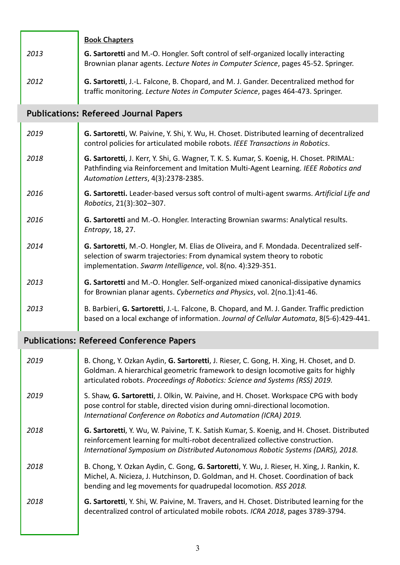|      | <b>Book Chapters</b>                                                                                                                                                     |
|------|--------------------------------------------------------------------------------------------------------------------------------------------------------------------------|
| 2013 | G. Sartoretti and M.-O. Hongler. Soft control of self-organized locally interacting<br>Brownian planar agents. Lecture Notes in Computer Science, pages 45-52. Springer. |
| 2012 | G. Sartoretti, J.-L. Falcone, B. Chopard, and M. J. Gander. Decentralized method for<br>traffic monitoring. Lecture Notes in Computer Science, pages 464-473. Springer.  |

# **Publications: Refereed Journal Papers**

| 2019 | G. Sartoretti, W. Paivine, Y. Shi, Y. Wu, H. Choset. Distributed learning of decentralized<br>control policies for articulated mobile robots. IEEE Transactions in Robotics.                                                      |
|------|-----------------------------------------------------------------------------------------------------------------------------------------------------------------------------------------------------------------------------------|
| 2018 | G. Sartoretti, J. Kerr, Y. Shi, G. Wagner, T. K. S. Kumar, S. Koenig, H. Choset. PRIMAL:<br>Pathfinding via Reinforcement and Imitation Multi-Agent Learning. IEEE Robotics and<br>Automation Letters, 4(3):2378-2385.            |
| 2016 | G. Sartoretti. Leader-based versus soft control of multi-agent swarms. Artificial Life and<br>Robotics, 21(3):302-307.                                                                                                            |
| 2016 | G. Sartoretti and M.-O. Hongler. Interacting Brownian swarms: Analytical results.<br>Entropy, 18, 27.                                                                                                                             |
| 2014 | G. Sartoretti, M.-O. Hongler, M. Elias de Oliveira, and F. Mondada. Decentralized self-<br>selection of swarm trajectories: From dynamical system theory to robotic<br>implementation. Swarm Intelligence, vol. 8(no. 4):329-351. |
| 2013 | G. Sartoretti and M.-O. Hongler. Self-organized mixed canonical-dissipative dynamics<br>for Brownian planar agents. Cybernetics and Physics, vol. 2(no.1):41-46.                                                                  |
| 2013 | B. Barbieri, G. Sartoretti, J.-L. Falcone, B. Chopard, and M. J. Gander. Traffic prediction<br>based on a local exchange of information. Journal of Cellular Automata, 8(5-6):429-441.                                            |

# **Publications: Refereed Conference Papers**

ï

| 2019 | B. Chong, Y. Ozkan Aydin, G. Sartoretti, J. Rieser, C. Gong, H. Xing, H. Choset, and D.<br>Goldman. A hierarchical geometric framework to design locomotive gaits for highly<br>articulated robots. Proceedings of Robotics: Science and Systems (RSS) 2019.    |
|------|-----------------------------------------------------------------------------------------------------------------------------------------------------------------------------------------------------------------------------------------------------------------|
| 2019 | S. Shaw, G. Sartoretti, J. Olkin, W. Paivine, and H. Choset. Workspace CPG with body<br>pose control for stable, directed vision during omni-directional locomotion.<br>International Conference on Robotics and Automation (ICRA) 2019.                        |
| 2018 | G. Sartoretti, Y. Wu, W. Paivine, T. K. Satish Kumar, S. Koenig, and H. Choset. Distributed<br>reinforcement learning for multi-robot decentralized collective construction.<br>International Symposium on Distributed Autonomous Robotic Systems (DARS), 2018. |
| 2018 | B. Chong, Y. Ozkan Aydin, C. Gong, G. Sartoretti, Y. Wu, J. Rieser, H. Xing, J. Rankin, K.<br>Michel, A. Nicieza, J. Hutchinson, D. Goldman, and H. Choset. Coordination of back<br>bending and leg movements for quadrupedal locomotion. RSS 2018.             |
| 2018 | G. Sartoretti, Y. Shi, W. Paivine, M. Travers, and H. Choset. Distributed learning for the<br>decentralized control of articulated mobile robots. ICRA 2018, pages 3789-3794.                                                                                   |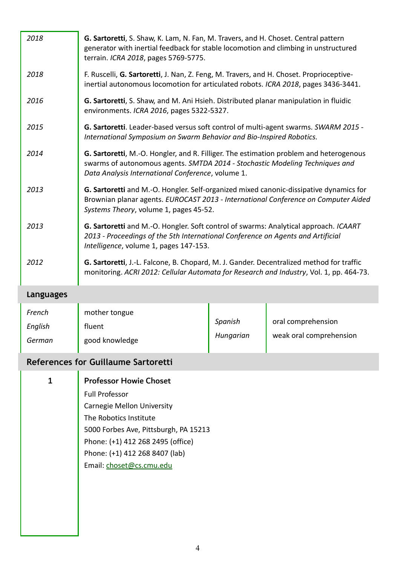| 2018                        | G. Sartoretti, S. Shaw, K. Lam, N. Fan, M. Travers, and H. Choset. Central pattern<br>generator with inertial feedback for stable locomotion and climbing in unstructured<br>terrain. ICRA 2018, pages 5769-5775.           |                      |                                               |
|-----------------------------|-----------------------------------------------------------------------------------------------------------------------------------------------------------------------------------------------------------------------------|----------------------|-----------------------------------------------|
| 2018                        | F. Ruscelli, G. Sartoretti, J. Nan, Z. Feng, M. Travers, and H. Choset. Proprioceptive-<br>inertial autonomous locomotion for articulated robots. ICRA 2018, pages 3436-3441.                                               |                      |                                               |
| 2016                        | G. Sartoretti, S. Shaw, and M. Ani Hsieh. Distributed planar manipulation in fluidic<br>environments. ICRA 2016, pages 5322-5327.                                                                                           |                      |                                               |
| 2015                        | G. Sartoretti. Leader-based versus soft control of multi-agent swarms. SWARM 2015 -<br>International Symposium on Swarm Behavior and Bio-Inspired Robotics.                                                                 |                      |                                               |
| 2014                        | G. Sartoretti, M.-O. Hongler, and R. Filliger. The estimation problem and heterogenous<br>swarms of autonomous agents. SMTDA 2014 - Stochastic Modeling Techniques and<br>Data Analysis International Conference, volume 1. |                      |                                               |
| 2013                        | G. Sartoretti and M.-O. Hongler. Self-organized mixed canonic-dissipative dynamics for<br>Brownian planar agents. EUROCAST 2013 - International Conference on Computer Aided<br>Systems Theory, volume 1, pages 45-52.      |                      |                                               |
| 2013                        | G. Sartoretti and M.-O. Hongler. Soft control of swarms: Analytical approach. ICAART<br>2013 - Proceedings of the 5th International Conference on Agents and Artificial<br>Intelligence, volume 1, pages 147-153.           |                      |                                               |
| 2012                        | G. Sartoretti, J.-L. Falcone, B. Chopard, M. J. Gander. Decentralized method for traffic<br>monitoring. ACRI 2012: Cellular Automata for Research and Industry, Vol. 1, pp. 464-73.                                         |                      |                                               |
| <b>Languages</b>            |                                                                                                                                                                                                                             |                      |                                               |
| French<br>English<br>German | mother tongue<br>fluent<br>good knowledge                                                                                                                                                                                   | Spanish<br>Hungarian | oral comprehension<br>weak oral comprehension |

# **References for Guillaume Sartoretti**

| 1 | <b>Professor Howie Choset</b>         |
|---|---------------------------------------|
|   | <b>Full Professor</b>                 |
|   | Carnegie Mellon University            |
|   | The Robotics Institute                |
|   | 5000 Forbes Ave, Pittsburgh, PA 15213 |
|   | Phone: (+1) 412 268 2495 (office)     |
|   | Phone: (+1) 412 268 8407 (lab)        |
|   | Email: choset@cs.cmu.edu              |
|   |                                       |
|   |                                       |
|   |                                       |
|   |                                       |
|   |                                       |
|   |                                       |